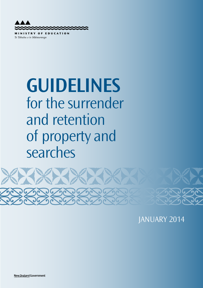

**STRY OF EDUCATION** M<sub>1</sub> Te Tāhuhu o te Mātauranga

# **Guidelines** for the surrender and retention of property and searches



JANUARY 2014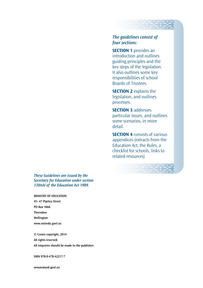# *The guidelines consist of four sections:*

**SECTION 1** provides an introduction and outlines guiding principles and the key steps of the legislation. It also outlines some key responsibilities of school Boards of Trustees.

**SECTION 2** explains the legislation, and outlines processes.

**SECTION 3 addresses** particular issues, and outlines some scenarios, in more detail.

**SECTION 4** consists of various appendices (extracts from the Education Act, the Rules, a checklist for schools, links to related resources).



*These Guidelines are issued by the Secretary for Education under section 139AAI of the Education Act 1989.* 

**MinisTRY OF eduCATiOn** 

**45–47 Pipitea street PO Box 1666 Thorndon Wellington www.minedu.govt.nz** 

**© Crown copyright, 2014 All rights reserved. All enquiries should be made to the publisher.** 

**isBn 978-0-478-42217-7** 

**newzealand.govt.nz**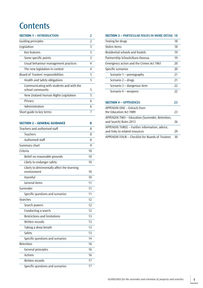# **Contents**

| <b>SECTION 1 - INTRODUCTION</b>          | 2             |
|------------------------------------------|---------------|
| Guiding principles                       | $\mathcal{P}$ |
| Legislation                              | 3             |
| Key features                             | 3             |
| Some specific points                     | 3             |
| Usual behaviour management practices     | 4             |
| The new legislation in context           | 4             |
| Board of Trustees' responsibilities      | 5             |
| Health and Safety obligations            | 5             |
| Communicating with students and with the |               |
| school community                         | 5             |
| New Zealand Human Rights Legislation     | 5             |
| Privacy                                  | 6             |
| Administration                           | 6             |
| Short guide to key terms                 |               |
|                                          |               |

| <b>SECTION 2 - GENERAL GUIDANCE</b>         | 8  |
|---------------------------------------------|----|
| Teachers and authorised staff               | 8  |
| <b>Teachers</b>                             | 8  |
| Authorised staff                            | 8  |
| Summary chart                               | 9  |
| Criteria                                    | 10 |
| Belief on reasonable grounds                | 10 |
| Likely to endanger safety                   | 10 |
| Likely to detrimentally affect the learning |    |
| environment                                 | 10 |
| Harmful                                     | 10 |
| General items                               | 11 |
| Surrender                                   | 11 |
| Specific questions and scenarios            | 11 |
| Searches                                    | 12 |
| Search powers                               | 12 |
| Conducting a search                         | 12 |
| <b>Restrictions and limitations</b>         | 13 |
| Written records                             | 13 |
| Taking a deep breath                        | 13 |
| Safety                                      | 13 |
| Specific questions and scenarios            | 14 |
| Retention                                   | 16 |
| General principles                          | 16 |
| <b>Actions</b>                              | 16 |
| Written records                             | 17 |
| Specific questions and scenarios            | 17 |

# **SECTION 3 – PARTICULAR ISSUES IN MORE DETAIL 18**

| Testing for drugs                                                               | 18 |
|---------------------------------------------------------------------------------|----|
| Stolen items                                                                    | 18 |
| Residential schools and hostels                                                 | 19 |
| Partnership Schools/Kura Hourua                                                 | 19 |
| Emergency action and the Crimes Act 1961                                        | 20 |
| Specific scenarios                                                              | 20 |
| Scenario 1 – pornography                                                        | 21 |
| Scenario 2 – drugs                                                              | 21 |
| Scenario 3 – dangerous item                                                     | 22 |
| Scenario 4 – weapons                                                            | 22 |
| <b>SECTION 4 - APPENDICES</b>                                                   | 23 |
| APPENDIX ONE – Extracts from<br>the Education Act 1989                          | 23 |
| APPENDIX TWO - Education (Surrender, Retention,<br>and Search) Rules 2013       | 26 |
| APPENDIX THREE - Further information, advice,<br>and links to related resources | 29 |
| APPENDIX FOUR - Checklist for Boards of Trustees                                | 30 |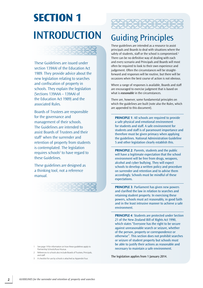# **Section 1 inTROduCTiOn**

**SERRES** 

These Guidelines are issued under section 139AAI of the Education Act 1989. They provide advice about the new legislation relating to searches and confiscation of property in schools. They explain the legislation (Sections 139AAA – 139AAI of the Education Act 1989) and the associated Rules.

Boards of Trustees are responsible for the governance and management of their schools. The Guidelines are intended to assist Boards of Trustees and their staff<sup>1</sup> when the surrender and retention of property from students is contemplated. The legislation requires schools<sup>2</sup> to have regard to these Guidelines.

These guidelines are designed as a thinking tool, not a reference manual.





# Guiding Principles

These guidelines are intended as a resource to assist principals and Boards to deal with situations where the safety of students, staff or the school is compromised.<sup>3</sup> There can be no definitive way of dealing with each and every scenario and Principals and Boards will most often be required to look to their own experience and judgement. Often the circumstances will be straightforward and responses will be routine, but there will be occasions when the best course of action is not obvious.

where a range of responses is available, Boards and staff are encouraged to exercise judgment that is based on what is *reasonable* in the circumstances.

There are, however, some fundamental principles on which the guidelines are built (note also the Rules, which are appended to this document).

**PRINCIPLE 1:** All schools are required to provide a safe physical and emotional environment for students and staff. A safe environment for students and staff is of paramount importance and therefore must be given primacy when applying the guidelines. National Administration Guideline 5 and other legislation clearly establish this.

**PRINCIPLE 2: Parents, students and the public** will have a legitimate expectation that the school environment will be free from drugs, weapons, alcohol and cyber bullying. They will expect schools to develop a written policy and procedure on surrender and retention and to advise them accordingly. Schools must be mindful of these expectations.

**PRINCIPLE 3: Parliament has given new powers** and clarified the law in relation to searches and retaining student property. In exercising these powers, schools must act reasonably, in good faith and in the least intrusive manner to achieve a safe environment.

**PRINCIPLE 4: Students are protected under Section** 21 of the New Zealand Bill of Rights Act 1990, which states "Everyone has the right to be secure against unreasonable search or seizure, whether of the person, property or correspondence or otherwise". This section does not prohibit searches or seizure of student property but schools must be able to justify their actions as reasonable and necessary to maintain a safe environment.

- 1 See page 19 for information on how these guidelines apply to Partnership Schools/Kura Hourua.
- 2 References to schools also include Boards of Trustees, Principals, and staff.
- 3 A checklist for use by schools is attached as Appendix Four.

The legislation applies from 1 January 2014.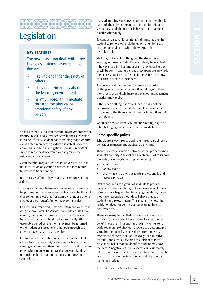

# Legislation

### **Key featureS**

The new legislation deals with three key types of items, covering things that are:

- likely to endanger the safety of others
- likely to detrimentally affect the learning environment
- harmful (poses an immediate threat to the physical or emotional safety of any person).

while all three allow a staff member to *require* students to produce, reveal, and surrender items in their possession, only a belief that a student has something that is *harmful*  allows a staff member to conduct a search. It is for this reason that a robust investigation process is important since the more evidence you have the greater the justification for any search.

A staff member may require a student to reveal an item that is stored on an electronic device, and may require the device to be surrendered.

In each case staff must have reasonable grounds for their actions.

There is a difference between a device and an item. For the purposes of these guidelines, a device can be thought of as something electronic (for example, a mobile phone, a tablet or a computer). An item is everything else.

If an *item* is surrendered, staff may retain and/or dispose of it (if appropriate). If a *device* is surrendered, staff may retain it, but cannot dispose of it. Items and devices that are retained must be stored appropriately. After a reasonable period of retention, they must be returned to the student or passed to another person (such as a parent) or agency (such as the Police).

If a student refuses to show or surrender an item that is likely to endanger safety or detrimentally affect the learning environment, then the school's usual disciplinary or behaviour management practices may apply. This may include (but is not limited to) a stand-down or suspension.

If a student refuses to show or surrender an item that is harmful, then either a search can be conducted, or the school's usual disciplinary or behaviour management practices may apply.

To conduct a search for an item, staff must require the student to remove outer clothing,<sup>4</sup> or surrender a bag or other belongings in which they suspect the item/device is.

Staff may not search clothing that the student is still wearing, nor may a student's person/body be searched. If however you think a serious criminal offence has been or will be committed and drugs or weapons are involved, the Police should be notified. Police may have the power of search in such circumstances.

As above, if a student refuses to remove the outer clothing, or surrender a bag or other belongings, then the school's usual disciplinary or behaviour management practices may apply.

If the outer clothing is removed, or the bag or other belongings are surrendered, then staff can search them. If any one of the three types of items is found, then staff may retain it.

whether or not an item is found, the clothing, bag, or other belongings must be returned immediately.

### **some specific points**

Schools are always free to apply their usual disciplinary or behaviour management practices at any time.

There is a clear distinction between school property and a student's property. A school can search any part of its own property (including its own digital property):

- at any time
- for any reason
- • by any means (as long as it acts professionally and respects privacy).

Staff cannot require a group of students to produce, reveal and surrender items, or to remove outer clothing or surrender a bag or other belongings, as above, unless they have reasonable grounds to believe that each student has a relevant item. This means, in effect, the legislation does not permit blanket searches in any circumstances.

There are many factors that can elevate a reasonable suspicion (that a student has an item) to a reasonable belief. These are things such as proximity to the item, exhibited manner/behaviour, answers to questions, and sometimes propensity. A considered common-sense assessment of these, oral inquires to gather objective material, and credible factors are sufficient to form a reasonable belief that an identified student may have the item. A negative result in a search can legitimately inform a new assessment of whether there are reasonable grounds to believe the item is in fact held by another identified student.

See definition in Short Guide to Terms on page 7.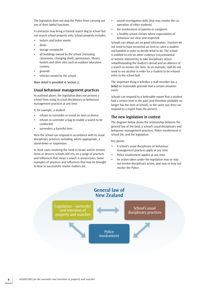The legislation does not stop the Police from carrying out any of their lawful functions.

A contractor may bring a trained search dog to school but can search school property only. School property includes:

- • lockers and locker rooms
- desks
- storage receptacles
- all buildings owned by the school (including classrooms, changing sheds, gymnasium, library, hostels and other sites such as outdoor education centres)
- grounds
- vehicles owned by the school.

More detail is provided in Section 2.

#### **usual behaviour management practices**

As outlined above, the legislation does not prevent a school from using its usual disciplinary or behaviour management practices at any time.

If, for example, a student:

- refuses to surrender or reveal an item or device
- refuses to surrender a bag to enable a search to be conducted
- • surrenders a harmful item

then the school can respond in accordance with its usual disciplinary practices including, where appropriate, a stand-down or suspension.

In most cases involving the need to locate and/or remove items or devices, schools will rely on a range of practices and influences that mean a search is unnecessary. Some examples of practices and influences that may be brought to bear to successfully resolve matters are:

- • sound investigation skills (that may involve the cooperation of other students)
- the involvement of parents or caregivers
- a healthy school climate where expectations of behaviour are clear and respected.

Schools can always act on good information. Teachers do not need to have recovered an item or catch a student red-handed in order to decide what to do. The school is entitled to rely on other evidence (circumstantial or witness statements) to take disciplinary action notwithstanding the student's denial and an absence of a search to recover the item. As an example, staff do not need to see alcohol in order for a student to be refused entry to the school ball.

The important thing is whether a staff member has a *belief* on reasonable grounds that a certain situation exists.

Schools can respond to a believable report that a student had a certain item in the past (and therefore probably no longer has the item at school), in the same way they can respond to a report from the present.

#### **The new legislation in context**

The diagram below shows the relationship between the general law of the land, a school's usual disciplinary and behaviour management practices, Police involvement in school life, and the legislation.

Key points:

- • A school's usual disciplinary or behaviour management practices apply at any time
- Police involvement applies at any time
- An action taken under the legislation may or may not involve disciplinary action, and may or may not involve the Police.

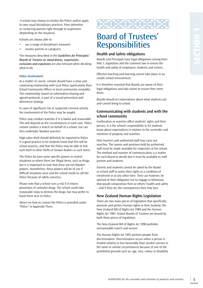A school may choose to involve the Police and/or apply its own usual disciplinary practices, from detention or contacting parents right through to suspension (depending on the situation).

Schools are always able to:

- use a range of disciplinary measures
- involve parents or caregivers.

The measures described in the *Guidelines for Principals/ Boards of Trustees on stand-downs, suspensions, exclusions and expulsions* are also relevant when deciding what to do.

#### *Police involvement*

As a matter of course, schools should have a close and continuing relationship with local Police (particularly their School Community Officer or local community constable). This relationship, based on information-sharing and agreed protocols, is part of a sound prevention and deterrence strategy.

In cases of significant risk or suspected criminal activity, the involvement of the Police may be sought.

Police may conduct searches if it is lawful and reasonable. This will depend on the circumstances in each case. Police cannot conduct a search on behalf of a school, nor can they undertake 'blanket searches'.

High-value theft should definitely be reported to Police. It is good practice to let students know that this will be school practice, and that the Police may be able to link such theft to other thefts or known dealers in such items.

The Police do have some specific powers in violent situations or where there are illegal items, such as drugs, but it is important to note that these are not blanket powers. Nonetheless, these powers will be of use if difficult situations arise and the school needs to call the Police because of safety concerns.

Please note that a school runs a risk if it retains possession of unlawful drugs. The school could take reasonable steps to destroy the drugs, but may prefer to hand them over to Police.

Advice on how to contact the Police is provided under "Police" in Appendix Three.



# Board of Trustees' **Responsibilities**

#### **Health and safety obligations**

Boards and Principals have legal obligations arising from NAG 5, legislation and the common law to ensure the health and safety of employees, students and visitors.

Effective teaching and learning cannot take place in an unsafe school environment.

It is therefore essential that Boards are aware of their legal obligations and take action to ensure they meet them.

Boards should set expectations about what students can and cannot bring to school.

### **Communicating with students and with the school community**

Confiscation or searches affect students' rights and their privacy. It is the school's responsibility to let students know about expectations in relation to the surrender and retention of property and searches.

Only teachers and authorised staff may carry out searches. The names and positions held by authorised staff must be made available for inspection at the school. The method and manner of communication is a matter for each Board to decide but it must be available to staff, parents and students.

Parents and students cannot be asked by the Board or school staff to waive their rights as a condition of enrolment or at any other time. They can however, be advised of their obligation not to engage in behaviour that would compromise their or others' health and safety – and if they do, the consequences they may face.

#### **new Zealand Human Rights legislation**

There are two main pieces of legislation that specifically promote and protect human rights in New Zealand: the New Zealand Bill of Rights Act 1990 and the Human Rights Act 1993. School Boards of Trustees are bound by both these pieces of legislation.

The New Zealand Bill of Rights Act 1990 prohibits unreasonable search and seizure.

The Human Rights Act 1993 protects people from discrimination. Discrimination occurs when a person is treated unfairly or less favourably than another person in the same or similar circumstances because of one of the prohibited grounds such as: age, race, colour or disability.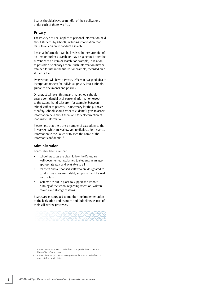Boards should always be mindful of their obligations under each of these two Acts.<sup>5</sup>

#### **Privacy**

The Privacy Act 1993 applies to personal information held about students by schools, including information that leads to a decision to conduct a search.

Personal information can be involved in the surrender of an item or during a search, or may be generated after the surrender of an item or search (for example, in relation to possible disciplinary action). Such information may be retained for use in the future (for example, recorded on a student's file).

Every school will have a Privacy Officer. It is a good idea to incorporate respect for individual privacy into a school's guidance documents and policies.

On a practical level, this means that schools should ensure confidentiality of personal information except to the extent that disclosure – for example, between school staff or to parents – is necessary for the purposes of safety. Schools should respect students' rights to access information held about them and to seek correction of inaccurate information.

Please note that there are a number of exceptions to the Privacy Act which may allow you to disclose, for instance, information to the Police or to keep the name of the informant confidential.<sup>6</sup>

#### **Administration**

Boards should ensure that:

- • school practices are clear, follow the Rules, are well-documented, explained to students in an ageappropriate way, and available to all
- • teachers and authorised staff who are designated to conduct searches are suitably supported and trained for this task
- • systems are put in place to support the smooth running of the school regarding retention, written records and storage of items.

Boards are encouraged to monitor the implementation of the legislation and its Rules and Guidelines as part of their self-review processes.



5 A link to further information can be found in Appendix Three under "The Human Rights Commission".

6 A link to the Privacy Commissioner's guidelines for schools can be found in Appendix Three under "Privacy".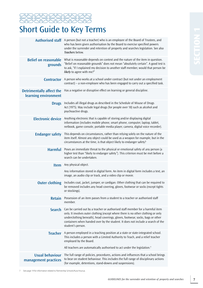



# Short Guide to Key Terms

|                                                  | Authorised staff A person (but not a teacher) who is an employee of the Board of Trustees, and<br>who has been given authorisation by the Board to exercise specified powers<br>under the surrender and retention of property and searches legislation. See also<br>Teachers below.                                                                          |
|--------------------------------------------------|--------------------------------------------------------------------------------------------------------------------------------------------------------------------------------------------------------------------------------------------------------------------------------------------------------------------------------------------------------------|
| <b>Belief on reasonable</b><br>grounds           | What is reasonable depends on context and the nature of the item in question.<br>"Belief on reasonable grounds" does not mean "absolutely certain". A good test is<br>to ask, "If I explained my decision to another staff member, would that person be<br>likely to agree with me?"                                                                         |
| <b>Contractor</b>                                | A person who works at a school under contract (but not under an employment<br>contract) – a non-employee who has been engaged to carry out a specified task.                                                                                                                                                                                                 |
| Detrimentally affect the<br>learning environment | Has a negative or disruptive effect on learning or general discipline.                                                                                                                                                                                                                                                                                       |
| <b>Drugs</b>                                     | Includes all illegal drugs as described in the Schedule of Misuse of Drugs<br>Act (1975). May include legal drugs (for people over 18) such as alcohol and<br>psychoactive drugs.                                                                                                                                                                            |
| <b>Electronic device</b>                         | Anything electronic that is capable of storing and/or displaying digital<br>information (includes mobile phone, smart phone, computer, laptop, tablet,<br>netbook, game console, portable media player, camera, digital voice recorder).                                                                                                                     |
| <b>Endanger safety</b>                           | This depends on circumstances, rather than relying solely on the nature of the<br>item itself. Almost any object could be used as a weapon for example, but in the<br>circumstances at the time, is that object likely to endanger safety?                                                                                                                   |
| <b>Harmful</b>                                   | Poses an immediate threat to the physical or emotional safety of any person (a<br>higher test than "likely to endanger safety"). This criterion must be met before a<br>search can be undertaken.                                                                                                                                                            |
| <b>Item</b>                                      | Any physical object.                                                                                                                                                                                                                                                                                                                                         |
|                                                  | Any information stored in digital form. An item in digital form includes a text, an<br>image, an audio clip or track, and a video clip or movie.                                                                                                                                                                                                             |
|                                                  |                                                                                                                                                                                                                                                                                                                                                              |
| <b>Outer clothing</b>                            | Includes coat, jacket, jumper, or cardigan. Other clothing that can be required to<br>be removed includes any head covering, gloves, footwear or socks (except tights<br>or stockings).                                                                                                                                                                      |
| <b>Retain</b>                                    | Possession of an item passes from a student to a teacher or authorised staff<br>member.                                                                                                                                                                                                                                                                      |
| <b>Search</b>                                    | Can be carried out by a teacher or authorised staff member for a harmful item<br>only. It involves outer clothing (except where there is no other clothing or only<br>underclothing beneath), head coverings, gloves, footwear, socks, bags or other<br>containers when handed over by the student. It does not include a search of the<br>student's person. |
| <b>Teacher</b>                                   | A person employed in a teaching position at a state or state-integrated school.<br>This includes a person with a Limited Authority to Teach, and a relief teacher<br>employed by the Board.                                                                                                                                                                  |
| <b>Usual behaviour</b>                           | All teachers are automatically authorised to act under the legislation. <sup>7</sup><br>The full range of policies, procedures, actions and influences that a school brings                                                                                                                                                                                  |

7 See page 19 for information related to Partnership Schools/Kura Hourua.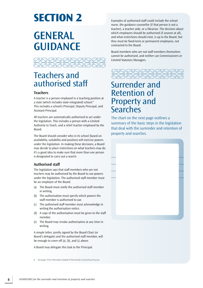# **Section 2**

# **GeneRAl GUIDANCE**



# Teachers and authorised staff

### **Teachers**

 a state (which includes state-integrated) school.8 A teacher is a person employed in a teaching position at This includes a school's Principal, Deputy Principal, and Assistant Principal.

All teachers are automatically authorised to act under the legislation. This includes a person with a Limited Authority to Teach, and a relief teacher employed by the Board.

The Board should consider who in its school (based on availability, suitability and position) will exercise powers under the legislation. In making these decisions, a Board may decide to place restrictions on what teachers may do. It's a good idea to make sure that more than one person is designated to carry out a search.

# **Authorised staff**

The legislation says that staff members who are not teachers may be authorised by the Board to use powers under the legislation. The authorised staff member must be an employee of the Board.

- (a) The Board must notify the authorised staff member in writing.
- (b) The authorisation must specify which powers the staff member is authorised to use.
- (c) The authorised staff member must acknowledge in writing the authorisation notice.
- (d) A copy of the authorisation must be given to the staff member.
- (e) The Board may revoke authorisation at any time in writing.

A simple letter, jointly signed by the Board Chair (or Board's delegate) and the authorised staff member, will be enough to cover off (a), (b), and (c) above.

A Board may delegate this task to the Principal.

See page 19 for information related to Partnership Schools/Kura Hourua. 8

Examples of authorised staff could include the school nurse, the guidance counsellor (if that person is not a teacher), a teacher aide, or a librarian. The decision about which employees should be authorised (if anyone at all), and what restrictions should exist, is up to the Board, but they must be fixed-term or permanent employees, not contracted to the Board.

Board members who are not staff members themselves cannot be authorised, and neither can Commissioners or Limited Statutory Managers.



# Surrender and Retention of Property and **Searches**

The chart on the next page outlines a summary of the basic steps in the legislation that deal with the surrender and retention of property and searches.

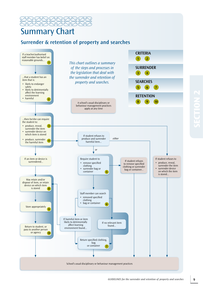

# Summary Chart

# **surrender & retention of property and searches**

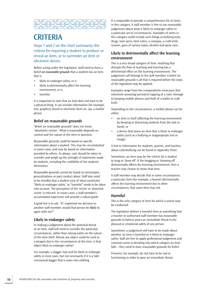

# **CRITERIA**

Steps 1 and 2 on the chart summarise the criteria for requiring a student to produce or reveal an item, or to surrender an item or electronic device.

Before acting under the legislation, staff need to form a belief *on reasonable grounds* that a student has an item that is

- likely to endanger safety, or is
- • likely to detrimentally affect the learning environment, or is
- harmful.

It is important to note that an item does not have to be a physical thing. It can include information (for example, text, graphics) stored in electronic form on, say, a mobile phone.

#### **Belief on reasonable grounds**

"Belief on reasonable grounds" does not mean "absolutely certain." what is reasonable depends on context and the nature of the item in question.

Reasonable grounds could be based on specific information about a student. This may be circumstantial in some cases, and may be based on information provided by others. As always, care should be taken to consider and weigh up the strength of statements made by students, including the credibility of the students themselves.

Reasonable grounds cannot be based on stereotypes, generalisations or past conduct alone. Staff also need to be mindful that a student view of what constitutes "likely to endanger safety" or "harmful" needs to be taken into account. The perception of the 'victim' or 'potential victim' is relevant. In many cases, a staff member's accumulated experience will provide a robust guide.

A good test is to ask, "If I explained my decision to another staff member, would that person be *likely* to agree with me?"

# **likely to endanger safety**

In making a judgement about the potential threat of an item, staff will need to consider the particular circumstances, rather than relying solely on the nature of the item itself. Almost any object could be used as a weapon but in the circumstances at the time, is that object likely to endanger safety?

For example, a dagger may well be likely to endanger safety in most cases, but not necessarily if it is a Sikh ceremonial dagger that is sewn into clothing.

It is impossible to provide a comprehensive list of items in this category. A staff member is free to use reasonable judgement about what is likely to endanger safety in a particular set of circumstances. Examples of items in this category could include such things as bullying texts, drugs, laser pens, steel rulers, a compass, a craft knife, scissors, guns of various types, alcohol and spray cans.

### **likely to detrimentally affect the learning environment**

This is a very broad category of item. Anything that disrupts the flow of teaching and learning has a detrimental effect on the learning environment. The judgement call belongs to the staff member. A belief on reasonable grounds is all that is required before the steps of the legislation may be applied.

Examples range from the comparatively innocuous (but extremely annoying) persistent tapping of a ruler, through to beeping mobile phones and theft of a wallet or craft knife.

Depending on the circumstances, a mobile phone can be either:

- an item in itself (affecting the learning environment by beeping or distracting students from the task in hand), or
- a device that stores an item that is likely to endanger safety (such as a bullying or inappropriate text or image).

A link to information for students, parents, and teachers about cyberbullying can be found in Appendix Three.

Sometimes, an item may be the vehicle for a student to brag or 'show off'. If the bragging or 'showing off' detrimentally affects the learning environment, then a teacher may choose to retain that item.

A staff member may decide that in some circumstances a particular item (for example, a beanie) detrimentally affects the learning environment but in other circumstances, that same item may not.

### **Harmful**

This is the only category of item for which a search may be conducted.

The legislation defines a harmful item as something that a teacher or authorised staff member has reasonable grounds to believe poses an immediate threat to the physical or emotional safety of any person.

Sometimes, a judgement will have to be made about whether an item is harmful or is likely to endanger safety. Staff are free to apply professional judgement and common sense in deciding into which category an item falls – they need to have reasonable grounds for belief.

Firearms, for example, do not have to be real or functioning in order to pose an immediate threat.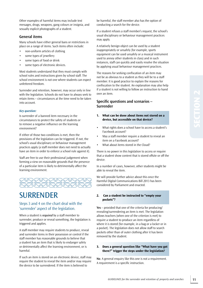Other examples of harmful items may include text messages, drugs, weapons, gang colours or insignia, and sexually explicit photographs of a student.

### **General items**

Many schools have either general bans or restrictions in place on a range of items. Such items often include:

- non-uniform articles of clothing
- • some types of jewellery
- some types of food or drink
- some types of electronic devices.

Most students understand that they must comply with school rules and instructions given by school staff. The school environment is not one where students can expect unfettered freedom.

Surrender and retention, however, may occur only in line with the legislation. Schools do not have to always seek to retain items – circumstances at the time need to be taken into account.

#### *Key question:*

Is surrender of a banned item necessary in the circumstances to protect the safety of students or to remove a negative influence on the learning environment?

If either of those two conditions is met, then the provisions of the legislation can be triggered. If not, the school's usual disciplinary or behaviour management practices apply (a staff member does not need to actually have an item in order to enforce a school rule against it).

Staff are free to use their professional judgement when forming a view on reasonable grounds that the presence of a particular item is likely to detrimentally affect the learning environment.



# **SURRENDER**

# Steps 3 and 4 on the chart deal with the 'surrender' aspect of the legislation.

when a student is *required* by a staff member to surrender, produce or reveal something, the legislation is triggered and applies.

A staff member may require students to produce, reveal and surrender items in their possession or control if the staff member has reasonable grounds to believe that a student has an item that is likely to endanger safety or detrimentally affect the learning environment, or is harmful.

If such an item is stored on an electronic device, staff may require the student to reveal the item and/or may require the device to be surrendered. If the item is believed to

be harmful, the staff member also has the option of conducting a search for the device.

If a student refuses a staff member's request, the school's usual disciplinary or behaviour management practices may apply.

A relatively benign object can be used by a student inappropriately or unsafely (for example, sports equipment can be used unsafely or a musical instrument used to annoy other students in class) and in such instances, staff can quickly and easily resolve the situation by applying usual behaviour management practices.

The reasons for seeking confiscation of an item may not be as obvious to a student as they will be to a staff member. It is good practice to explain the reasons for confiscation to the student. An explanation may also help if a student is not willing to follow an instruction to hand over an item.

# **specific questions and scenarios – surrender**

#### **1. What can be done about items not stored on a device, but accessible on that device?**

- • What rights does a school have to access a student's Facebook account?
- May a staff member require a student to reveal an item on a Facebook account?
- What about items stored in the Cloud?

There is no power in this legislation to access or require that a student show content that is stored offsite or off the device.

In a number of cases, however, other students might be able to reveal the item.

we will provide further advice about this once the Harmful Digital Communications Bill 2013 has been considered by Parliament and enacted.

#### **2. can a student be instructed to "empty your pockets"?**

**Yes** – provided that one of the criteria for producing/ revealing/surrendering an item is met. The legislation allows teachers (when one of the criterion is met) to require a student to produce an item regardless of where it is stored (for example, in a bag or a locker or in a pocket). The legislation does not allow staff to search pockets other than of outer clothing after it has been removed by the student.

#### **3.** Does a general question like "What have you got **there?" trigger the steps under the legislation?**

**no**. A general enquiry like this one is not a requirement. A requirement is a specific instruction.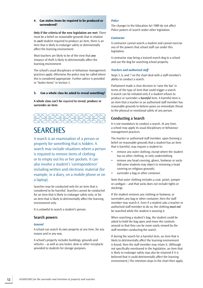#### **4. can stolen items be required to be produced or surrendered?**

**Only if the criteria of the new legislation are met**. There must be a belief on reasonable grounds that in relation to *each* student required to produce an item, there is an item that is likely to endanger safety or detrimentally affect the learning environment.

Most teachers are likely to be of the view that *any*  instance of theft is likely to detrimentally affect the learning environment.

The school's usual disciplinary or behaviour management practices apply. Otherwise the police may be called where this is considered appropriate. Further advice is provided in "Stolen Items" in Section 3.

#### $\overline{5}$ **5. can a whole class be asked to reveal something?**

**A whole class can't be** *required* **to reveal, produce or surrender an item.** 



# **SEARCHES**

A search is an examination of a person or property for something that is hidden. A search may include situations where a person is required to remove items of clothing or to empty out his or her pockets. It can also involve a student's 'correspondence' including written and electronic material (for example, in a diary, on a mobile phone or on a laptop).

Searches may be conducted only for an item that is considered to be harmful. Searches cannot be conducted for an item that is likely to endanger safety only, or for an item that is likely to detrimentally affect the learning environment only.

It is unlawful to search a student's person.

#### **search powers**

#### *General*

A school can search its own property at any time, for any reason and in any way.

A school's property includes buildings, grounds and vehicles – as well as any locker, desk or other receptacle provided to students for storage purposes.

#### *Police*

The changes to the Education Act 1989 do not affect Police powers of search under other legislation.

#### *Contractor*

A contractor cannot search a student and cannot exercise any of the powers that school staff can under this legislation.

A contractor may bring a trained search dog to a school and use the dog for searching school property.

#### *Teachers and authorised staff*

Steps 5, 6, and 7 on the chart deal with a staff member's ability to conduct a search.

Parliament made a clear decision to 'raise the bar' in terms of the type of item that could trigger a search. A search can be initiated only if a student refuses to produce or surrender a *harmful* item. A harmful item is an item that a teacher or an authorised staff member has reasonable grounds to believe poses an immediate threat to the physical or emotional safety of any person.

#### **Conducting a search**

It is not mandatory to conduct a search. At any time, a school may apply its usual disciplinary or behaviour management practices.

The teacher or authorised staff member, upon forming a belief on reasonable grounds that a student has an item that is harmful, may require a student to:

- remove any outer clothing, except where the student has no other clothing, or only underclothing
- remove any head covering, gloves, footwear or socks (NB some students may object to removing a head covering on religious grounds)
- • surrender a bag or other container.

Note that outer clothing includes a coat, jacket, jumper or cardigan – and that socks does not include tights or stockings.

If the student removes any clothing or footwear, or surrenders any bag or other container, then the staff member may search it. Even if a student asks a teacher or authorised staff member to do so, the clothing *must not*  be searched while the student is wearing it.

when searching a student's bag, the student could be asked to hold the bag open and move the contents around so that they can be more easily viewed by the staff member conducting the search.

If during the search for a harmful item, an item that is likely to detrimentally affect the learning environment is found, then the staff member may retain it. (Although not specifically mentioned in the legislation, an item that is likely to endanger safety may also be retained if it is believed that it could detrimentally affect the learning environment.) The retention steps in the chart then apply.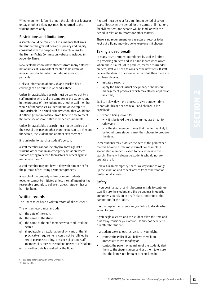whether an item is found or not, the clothing or footwear or bag or other belongings must be returned to the student immediately.

#### **Restrictions and limitations**

A search should be carried out in a manner that gives the student the greatest degree of privacy and dignity consistent with the purpose of the search. A link to the Human Rights Commission website is included in Appendix Three.

New Zealand schools have students from many different nationalities. It is important for staff to be aware of relevant sensitivities when considering a search, in particular.

Links to information about Sikh and Muslim head coverings can be found in Appendix Three.

Unless impracticable, a search must be carried out by a staff member who is of the same sex as the student, and in the presence of the student and another staff member who is of the same sex as the student. An example of "impracticable" is a small primary school that would find it difficult (if not impossible) from time to time to meet the same sex or second staff member requirements.

Unless impracticable, a search must not be carried out in the view of any person other than the person carrying out the search, the student and another staff member.

It is unlawful to search a student's person.

A staff member cannot use physical force against a student, other than in an emergency situation where staff are acting to defend themselves or others against immediate harm.<sup>9</sup>

A staff member may not have a dog with him or her for the purpose of searching a student's property.

A search of the property of two or more students together cannot be initiated unless the staff member has reasonable grounds to believe that each student has a harmful item.

### **Written records**

The Board must have a written record of all searches.<sup>10</sup>

The written record must include:

- (a) the date of the search
- (b) the name of the student
- (c) the name of the staff member who conducted the search
- (d) if applicable, an explanation of why any of the "if practicable" requirements could not be fulfilled (re sex of person searching, presence of second staff member of same sex as student, presence of student)
- (e) any other details specified by the Board.

10 See Rule 11.

A record must be kept for a minimum period of seven years. This covers the period for the statute of limitations for civil matters, and schools will be familiar with this period in relation to records for other matters.

There is no requirement for a register of records to be kept but a Board may decide to keep one if it chooses.

### **Taking a deep breath**

In many cases a student questioned by staff will admit to possessing an item and will hand it over when asked. where there is a refusal to produce, reveal or surrender an item, staff will need to consider the next steps. If staff believe the item in question to be harmful, then there are two basic choices:

- initiate a search or
- apply the school's usual disciplinary or behaviour management practices (which may also be applied at any time).

Staff can slow down the process to give a student time to consider his or her behaviour and choices. If it is explained:

- what is being looked for
- why it is believed there is an immediate threat to safety and
- • why the staff member thinks that the item is likely to be found some students may then choose to produce the item.

Some students may produce the item at the point when matters become a little more formal (for example, a second staff member is called to be a witness to the search). There will always be students who do not cooperate at all.

Unless it is an emergency, there is always time to weigh up the situation and to seek advice from other staff or professional advisers.

### **safety**

If you begin a search and it becomes unsafe to continue, stop. Ensure the student and the belongings in question are under supervision in a safe place, and contact the parents and/or the Police.

It is then up to the parents and/or Police to decide what action to take.

If you begin a search and the student takes the item and runs away, consider your options. It may not be wise to run after the student.

If a student seeks to obstruct a search you might:

- contact the Police if you believe there is an immediate threat to safety or
- contact the parent or guardian of the student, alert them to the circumstances and ask them to ensure that the item is not brought to school again.

<sup>9</sup> See page 20 for information on the Crimes Act.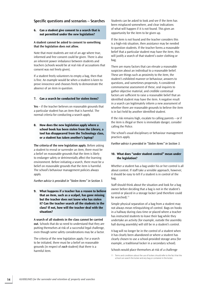#### **specific questions and scenarios – searches**

#### **6. can a student give consent to a search that is not permitted under the new legislation?**

**A student cannot be asked to consent to something that the legislation does not allow.** 

Note that most students are not of an age where true, informed and free consent could be given. There is also an inherent power imbalance between students and teachers (schools would be at real risk of accusations that consent was not freely given).

If a student freely volunteers to empty a bag, then that is fine. An example would be when a student is keen to prove innocence and chooses freely to demonstrate the absence of an item in question.

#### **7. can a search be conducted for stolen items?**

**Yes** – if the teacher believes on reasonable grounds that a particular student has an item that is harmful. The normal criteria for conducting a search apply.

#### **8. How does the new legislation apply where a school book has been stolen from the library, a**  tool has disappeared from the Technology class, **or a student has taken another's laptop?**

**The criteria of the new legislation apply.** Before asking a student to reveal or surrender an item, there must be a belief on reasonable grounds that the item is likely to endanger safety or detrimentally affect the learning environment. Before initiating a search, there must be a belief on reasonable grounds that the item is harmful. The school's behaviour management policies always apply.

*Further advice is provided in "Stolen Items" in Section 3.* 

**9. What happens if a teacher has a reason to believe that an item, such as a scalpel, has gone missing but the teacher does not know who has stolen it? can the teacher search all the students in the class? if not, how will the teacher deal with the situation?** 

**A search of all students in the class cannot be carried out.** Schools that do so need to understand that they are putting themselves at risk of a successful legal challenge, even though some safety considerations may be a factor.

The criteria of the new legislation apply. For a search to be initiated, there must be a belief on reasonable grounds (in respect of *each* student) that there is a harmful item.

Students can be asked to look and see if the item has been misplaced somewhere, and clear indications of what will happen if it is not found. This gives an opportunity for the item to be given up.

If the item is not found and the teacher considers this is a high-risk situation, then assistance may be needed to question students. If the teacher forms a reasonable belief that a particular student may have the item, this will justify a search of that student's outer clothing or bag.

There are many factors that can elevate a reasonable suspicion about an individual to a reasonable belief. These are things such as proximity to the item, the student's exhibited manner or behaviour, answers to questions, and sometimes propensity. A considered commonsense assessment of these, oral inquires to gather objective material, and credible contextual factors are sufficient to raise a reasonable belief that an identified student may have the item. A negative result in a search can legitimately inform a new assessment of whether there are reasonable grounds to believe the item is in fact held by another identified student.

If the risk remains high, escalate to calling parents – or if the item is illegal or there is immediate danger, consider calling the Police.

The school's usual disciplinary or behaviour management practices apply.

*Further advice is provided in "Stolen Items" in Section 3.* 

#### **10. What does "under student control" mean under the legislation?**

whether a student has a bag under his or her control is all about context. If staff take a sensible approach, however, it should be easy to tell if a student is in control of the bag.

Staff should think about the situation and look for a bag owner before deciding that a bag is not in the student's control or placed in a storage locker (and therefore could be searched).<sup>11</sup>

Simple physical separation of a bag from a student may not always mean relinquishing of control. Bags on hooks in a hallway during class time or placed where a teacher has instructed students to leave their bag while they undertake an activity (for example, outside the assembly hall during assembly) will still be in a student's control.

A bag will no longer be in the control of a student when it has clearly been abandoned or where a student has clearly chosen to use a school-provided storage area (for example, a traditional locker in a secondary school).

Schools would place themselves at risk of a challenge

11 Terms and conditions about the use of lockers should refer to the fact that the school can search the locker and any bag or container in the locker.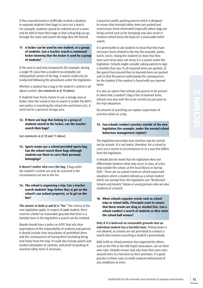if they manufactured or artificially created a situation to separate students from bags to carry out a search. For example, students cannot be ordered out of a room and be told to leave their bags so that a drug dog can go through the room and search the bags they left behind.

#### **11 a locker can be used by one student, or a group of students. can a teacher search a communal locker knowing that the locker is used by a group of students?**

If the area is used only temporarily (for example, during a single PE class) then a student has probably not relinquished control of the bag. A search could only be conducted following the procedures under the legislation.

whether a student has a bag in the student's control is all about context. *(see comments in Q 10 above)*.

If students have freely chosen to use a storage area or locker, then the school is free to search it (under the BOT's own policy re searching the school site and lockers etc). It need not be a personal storage area.

#### **12. if there are bags that belong to a group of students stored in the locker, can the teacher search their bags?**

*(see comments in Q 10 and 11 above).* 

#### **13. Sports teams use a school-provided sports bag. can the school search these bags although students use them to carry their personal belongings?**

**it doesn't matter who** *owns* **the bag**. A bag under the student's control can only be searched in the circumstances set out in the Act.

#### **14. the school is organising a trip. can a teacher search students' bags before they a) get on the school's van (school property), or b) get on the bus?**

**The answer to both a) and b) is "No."** The criteria of the new legislation apply. In respect of *each* student, there must be a belief on reasonable grounds that there is a harmful item in the bag before a search can be initiated.

Boards should have a policy on EOTC that sets clear expectations of the responsibility of students and parents. It should include clear articulation of prohibited items and the consequences of having them (Including being sent home from the trip). It could also include parent and student attestation of contents, and proof of packing of essential safety items if necessary.

A proactive public packing process which is designed to ensure that essential safety items are packed and unnecessary items eliminated (especially where bags are being carried such as for tramping) may also result in evidence which forms the basis for a reasonable belief search.

It is permissible to ask students to show that they have necessary items related to the trip (for example, parka, lunch, torch). Asking the students to show that they have such items does not mean it is a search under the legislation. Schools might consider asking parents to sign a checklist that says (1) all required items are packed, (2) the parent has ensured that no banned items are packed and (3) that the parent understands the consequences for the student if the student is found with any banned items.

It is also an option that schools ask parents to be present to attest that a student's bag is free of banned items. Schools may also wish this to be carried out just prior to the trip's departure.

No amount of searching can replace supervision of activities while on a trip.

#### **15. can schools conduct searches outside of the new legislation (for example, under the normal school behaviour management regime)?**

The legislation prescribes how searches may be carried out by schools. It is not lawful, therefore, for a school to carry out a search in circumstances or in a way that differs from the legislation.

It should also be noted that the legislation does not differentiate between what may occur in class, at a bus stop outside the school, at the local library or during EOTC. There are no school events or school-supervised situations where a student attends as a school student which are exempt from the legislation (see "Residential Schools and Hostels" below re young persons who are also residents of a hostel).

**16. When schools organise events such as school trips or school balls, Principals want to ensure that these events are drug or alcohol free. can a school conduct a search of students as they enter the school ball venues?** 

**Only if it is believed on reasonable grounds that an individual student has a harmful item.** Patting down is not allowed, as schools are not permitted to conduct a search that involves searching a student's person/body.

Balls held on school premises but organised by others, such as the PTA or the Old Pupils Association, can set their own rules. Outside venues may also have their own rules around entry to a function on their premises. It is good practice in these cases to notify students beforehand of any conditions to entry.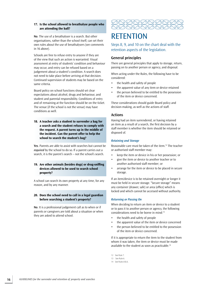#### **17. is the school allowed to breathalyse people who are attending the ball?**

**no**. The use of a breathalyser is a search. But other organisations, rather than the school itself, can set their own rules about the use of breathalysers (see comments in 16 above).

Schools are free to refuse entry to anyone if they are of the view that such an action is warranted. Visual assessment at entry of students' condition and behaviour may occur, and entry can be refused based on a judgement about a student's condition. A search does not need to take place before arriving at that decision. Continued supervision of students may be based on the same criteria.

Board policy on school functions should set clear expectations about alcohol, drugs and behaviour, and student and parental responsibility. Conditions of entry and of remaining at the function should be on the ticket. The venue (if the school is not the venue) may have conditions as well.

**18. a teacher asks a student to surrender a bag for a search and the student refuses to comply with the request. a parent turns up in the middle of the incident. can the parent offer to help the school to search the student's bag?** 

**Yes**. Parents are able to assist with searches but cannot be *required* by the school to do so. If a parent carries out a search, it is the parent's search – not the school's search.

#### **19. are other animals (besides dogs) or drug-sniffing devices allowed to be used to search school property?**

A school can search its own property at any time, for any reason, and by any manner.

#### 20. Does the school need to call in a legal guardian **before searching a student's property?**

**no**. It is a professional judgement call as to when or if parents or caregivers are told about a situation or when they are asked to attend school.



# **RETENTION**

Steps 8, 9, and 10 on the chart deal with the retention aspects of the legislation.

### **General principles**

There are general principles that apply to storage, return, passing on to another person or agency, and disposal.

when acting under the Rules, the following have to be considered:

- the health and safety of people
- the apparent value of any item or device retained
- the person believed to be entitled to the possession of the item or device concerned.

These considerations should guide Board policy and decision-making, as well as the actions of staff.

#### **Actions**

Having had an item surrendered, or having retained an item as a result of a search, the first decision by a staff member is whether the item should be retained or disposed of.

#### *Retaining and Storage*

Reasonable care must be taken of the item.12 The teacher or authorised staff member may:

- keep the item or device in his or her possession; or
- give the item or device to another teacher or to another authorised staff member; or
- arrange for the item or device to be placed in secure storage.

If an item/device is to be retained overnight or longer it must be held in secure storage. "Secure storage" means any container (drawer, safe) or area (office) which is locked and which cannot be accessed without authority.

#### *Returning or Passing On*

when deciding to return an item or device to a student or to pass it to another person or agency, the following considerations need to be borne in mind:13

- the health and safety of people
- the apparent value of the item or device concerned
- the person believed to be entitled to the possession of the item or device concerned.

If it is appropriate to return the item to the student from whom it was taken, the item or device must be made available to the student as soon as practicable.14

12 See Rule 7.

14 See Rules 8 & 6.

<sup>13</sup> See Rule 6.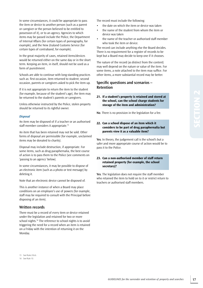In some circumstances, it could be appropriate to pass the item or device to another person (such as a parent or caregiver or the person believed to be entitled to possession of it), or to an agency. Agencies to which items may be passed include the Police, the Department of Internal Affairs (for certain types of pornography, for example), and the New Zealand Customs Service (for certain types of contraband, for example).

In the great majority of cases, retained items/devices would be returned either on the same day or in the short term. Keeping an item, in itself, should not be used as a form of punishment.

 such as: first occasion, item returned to student; second Schools are able to continue with long-standing practices occasion, parents or caregivers asked to pick the item up.

If it is not appropriate to return the item to the student (for example, because of the student's age), the item may be returned to the student's parents or caregivers.

Unless otherwise instructed by the Police, stolen property should be returned to its rightful owner.

#### *Disposal*

An item may be disposed of if a teacher or an authorised staff member considers it appropriate.15

An item that has been retained may not be sold. Other forms of disposal are permissible (for example, unclaimed items may be donated to charity).

Disposal may include destruction, if appropriate. For some items, such as drug paraphernalia, the best course of action is to pass them to the Police (see comments on 'passing to an agency' below).

In some circumstances, it may be possible to dispose of an electronic item (such as a photo or text message) by deleting it.

Note that an electronic device cannot be disposed of.

This is another instance of when a Board may place conditions on an employee's use of powers (for example, staff may be required to consult with the Principal before disposing of an item).

#### **Written records**

There must be a record of every item or device retained under the legislation and retained for two or more school nights.<sup>16</sup> The reference to school nights is to avoid triggering the need for a record when an item is retained on a Friday with the intention of returning it on the Monday.

The record must include the following:

- the date on which the item or device was taken
- the name of the student from whom the item or device was taken
- the name of the teacher or authorised staff member who took the item or device.

The record can include anything else the Board decides. There is no requirement for a register of records to be kept but a Board may decide to keep one if it chooses.

The nature of the record (as distinct from the content) may well depend on the nature or value of the item. For some items, a note attached to the item may suffice. For other items, a more substantial record may be better.

#### **specific questions and scenarios – Retention**

#### **21. if a student's property is retained and stored at the school, can the school charge students for storage of the item and administration?**

**no**. There is no provision in the legislation for a fee.

#### **22. can a school dispose of an item which it considers to be part of drug paraphernalia but parents view it as a valuable item?**

**Yes**. In theory, the judgement call is the school's but a safer and more appropriate course of action would be to pass it to the Police.

#### **23. can a non-authorised member of staff return retained property (for example, the school secretary)?**

**Yes**. The legislation does not require the staff member who retained the item to hold on to it or restrict return to teachers or authorised staff members.

15 See Rules 9 & 6. 16 See Rule 10.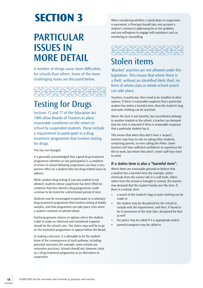# **Section 3**

# **PARTiCulAR issues in MORe deTAil**

A number of things cause more difficulties for schools than others. Some of the more challenging issues are discussed below.



# **Testing for Drugs**

Sections 15 and 17 of the Education Act 1989 allow Boards of Trustees to place reasonable conditions on the return to school by suspended students. These include a requirement to participate in a drug treatment programme that involves testing for drugs.

This has not changed.

It is generally acknowledged that a good drug treatment programme (whether or not participation is a condition of return to school following suspension) can have a very positive effect on a student who has drug-related issues to address.

while random drug testing of just any student is not allowed, students whose suspension has been lifted on condition that they attend a drug programme could continue to be tested for a determined period of time.

Students may be encouraged to participate in a voluntary drug-treatment programme that involves testing of bodily samples, and that programme can take place even when a student continues to attend school.

Outlining genuine choices or options where the student is *free* to make an informed and considered response should be the school's aim. The choice may well be to go on the treatment programme or appear before the Board.

In making a decision, it is advisable to let the student know of the consequences of each pathway, including potential outcomes (for example, some schools use restorative practices). Schools should not, however, insist on a drug treatment programme as an alternative to suspension.

when considering whether a stand-down or suspension is warranted, a Principal should take into account a student's interest in addressing his or her problem, and any willingness to engage with assistance such as mentoring or counselling.



# Stolen items

'Blanket' searches are not allowed under the legislation. This means that where there is a theft, without an identified likely thief, no form of whole-class or whole-school search can take place.

Teachers, in particular, then need to be mindful of other options. If there is reasonable suspicion that a particular student has stolen a harmful item, then the student's bag and outer clothing can be searched.

where the item is not harmful, but nevertheless belongs to another student or the school, a teacher can demand that the item is returned if there is reasonable suspicion that a particular student has it.

This means that when they don't have a 'suspect', teachers may have to rely on asking other students, contacting parents, or even calling the Police. Some teachers will have sufficient confidence or experience for this to work, but where they don't, senior staff may need to assist.

# **if a stolen item is also a "harmful item":**

where there are reasonable grounds to believe that a student has a harmful item (for example, stolen chemicals from the science lab or a craft knife, either stolen from the school or brought to school), the teacher may demand that the student hands over the item. If there is a refusal, then:

- a search of the student's bag or outer clothing can be made or
- the student may be disciplined for the refusal to comply with the requirement, and then, if found to be in possession of the item later, discipined for that as well
- the police may be called if it is appropriate and/or
- parents/caregivers may be called in.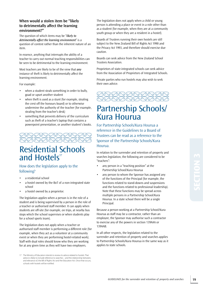# **When would a stolen item be "likely to detrimentally affect the learning environment?"**

The question of which items may be "*likely to detrimentally affect the learning environment*" is a question of context rather than the inherent nature of an item.

In essence, anything that interrupts the ability of a teacher to carry out normal teaching responsibilities can be seen to be detrimental to the learning environment.

Most teachers are likely to be of the view that *any*  instance of theft is likely to detrimentally affect the learning environment.

For example:

- when a student steals something in order to bully, goad or upset another student
- when theft is used as a stunt (for example, stealing the crest off the honours board) or to otherwise undermine the authority of the teacher (for example, stealing from the teacher's desk)
- something that prevents delivery of the curriculum such as theft of a teacher's laptop that contains a powerpoint presentation, or another student's books.



# Residential Schools and Hostels<sup>17</sup>

### How does the legislation apply to the following?

- a residential school
- a hostel owned by the BoT of a non-integrated state school
- a hostel owned by a proprietor.

The legislation applies when a person is in the role of a student and is being supervised by a person in the role of a teacher or authorised staff member. It can apply when students are off-site (for example, on trips, at nearby bus stops which the school supervises or when students play for a school sports team).

The legislation does not apply when a teacher or authorised staff member is performing a different role (for example, when they act as a volunteer at a community event or when they are performing hostel-related work). Staff with dual roles should know who they are working for at any given time as they will have two employers.

The legislation does not apply when a child or young person is attending a place or event in a role other than as a student (for example, when they are at a community youth group or when they are a resident in a hostel).

Boards of Trustees running their own hostels are still subject to the New Zealand Bill of Rights Act 1990 and the Privacy Act 1993, and therefore should exercise due caution.

Boards can seek advice from the New Zealand School Trustees Association.

Proprietors of state-integrated schools can seek advice from the Association of Proprietors of Integrated Schools.

Private parties who run hostels may also wish to seek their own advice.



# Partnership Schools/ **Kura Hourua**

For Partnership Schools/Kura Hourua a reference in the Guidelines to a Board of Trustees can be read as a reference to the Sponsor of the Partnership Schools/Kura Hourua.

In relation to the surrender and retention of property and searches legislation, the following are considered to be "teachers":

- any person in a "teaching position" at the Partnership School/Kura Hourua
- any person to whom the Sponsor has assigned any of the functions of the Principal (for example, the functions related to stand-downs and suspensions and the functions related to professional leadership). Note that these functions may be spread across multiple persons in a Partnership School/Kura Hourua. In a state school there will be a single Principal.

Because a person working at a Partnership School/Kura Hourua as staff may be a contractor, rather than an employee, the Sponsor may authorise such a contractor to exercise any of the powers in section 139AAA or 139AAB.

In all other respects, the legislation related to the surrender and retention of property and searches applies to Partnership Schools/Kura Hourua in the same way as it applies to state schools.

<sup>17</sup> The Ministry of Education intends to review its advice related to hostels. That advice is likely to include reference to searches – and the relationship between, and relevance of, the Bill of Rights Act and the Education Act. Once that occurs, schools with hostels will be notified.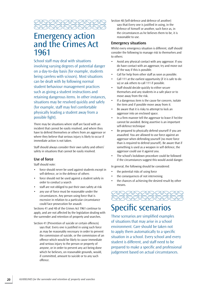

# Emergency action and the Crimes Act 1961

School staff may deal with situations involving varying degrees of potential danger on a day-to-day basis (for example, students being careless with scissors). Most situations can be dealt with by following normal student behaviour management practices such as giving a student instructions and retaining dangerous items. In other instances, situations may be resolved quickly and safely (for example, staff may feel comfortable physically leading a student away from a possible fight).

There may be situations where staff are faced with an incident that cannot be easily resolved, and where they have to defend themselves or others from an aggressor or where they believe that serious injury is likely to occur if immediate action is not taken.

Staff should always consider their own safety and others' safety in situations that cannot be easily resolved.

# **use of force**

Staff should note:

- force should never be used against students except in self-defence, or in the defence of others
- force should not be used against a student solely in order to conduct a search
- staff are not obliged to put their own safety at risk
- any use of force must be reasonable under the circumstances. Any person using force that is excessive in relation to a particular circumstance could face prosecution for assault.

Sections 41 and 48 of the Crimes Act 1961 continue to apply, and are not affected by the legislation dealing with the surrender and retention of property and searches.

Section 41 (Prevention of suicide or certain offences) says that: Every one is justified in using such force as may be reasonably necessary in order to prevent the commission of suicide, or the commission of an offence which would be likely to cause immediate and serious injury to the person or property of anyone, or in order to prevent any act being done which he believes, on reasonable grounds, would, if committed, amount to suicide or to any such offence.

Section 48 (Self-defence and defence of another) says that:Every one is justified in using, in the defence of himself or another, such force as, in the circumstances as he believes them to be, it is reasonable to use.

#### **emergency situations**

whilst every emergency situation is different, staff should consider the following to manage risk to themselves and to others:

- • Avoid any physical contact with any aggressor. If you do have contact with an aggressor, try and move out of the way if this is possible.
- Call for help from other staff as soon as possible.
- Call 111 at the earliest opportunity (if it is safe to do so) or ask others to call 111 if possible.
- • Staff should decide quickly to either secure themselves and any students in a safe place or to move away from the risk.
- If a dangerous item is the cause for concern, isolate the item and if possible move away from it.
- • Be aware that it is risky to attempt to lock an aggressor into an enclosed space.
- In a firm manner tell the aggressor to leave if he/she cannot be avoided. Being assertive is an important self-defence technique
- Be prepared to physically defend yourself if you are assaulted. You are allowed to use force against an aggressor when defending yourself (no more force than is required to defend yourself). Be aware that if something is used as a weapon in self defence, the aggressor could use it against you.
- The school's lockdown procedure could be followed if the circumstances suggest this would avoid danger.

In general, the following should be considered:

- the potential risks of using force
- the consequences of not intervening
- the chances of achieving the desired result by other means.



# Specific scenarios

These scenarios are simplified examples of situations that may arise in a school environment. Care should be taken not to apply them automatically to a specific situation in a school. Every school and every student is different, and staff need to be prepared to make a specific and professional judgement based on actual circumstances.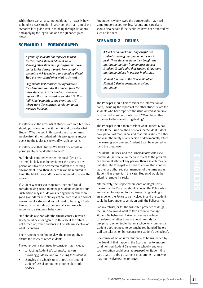whilst these scenarios cannot guide staff on exactly how to handle a real situation in a school, the main aim of the scenarios is to guide staff in thinking through situations and applying the legislation and the guidance given above.

# **Scenario 1 – pornography**

*A group of students has reported to their teacher that a student (Student W) was showing other students a pornographic movie on his tablet during a break. Pornography presents a risk to students and could be illegal. Staff are now considering what to do next.* 

*Staff should first consider the information they have and consider the reports from the other students. Are the students who have reported the issue viewed as credible? Do their individual accounts of the events match? Where were the witnesses in relation to the reported incident?* 

If staff believe the accounts of students are credible, they should put allegations to Student w and consider what Student w has to say. At this point the situation may resolve itself if the student admits wrongdoing and/or opens up the tablet to show staff what it contains.

If staff believe that Student w's tablet does contain pornography, what do they do next?

Staff should consider whether the movie (which is an item) is likely to either endanger the safety of any person or is likely to detrimentally affect the learning environment. If so, then Student w can be required to hand the tablet over and/or can be required to reveal the movie.

If Student w refuses to cooperate, then staff could consider taking action to manage Student w's behaviour. Such action may include considering whether there are good grounds for disciplinary action (note that in a school environment a student does not need to be caught 'redhanded' in an unsafe act before staff can take action in response to a student's behaviour).

Staff should also consider the circumstances in which safety could be endangered. In this case if the tablet is not turned on, other students will be safe irrespective of what it contains.

There is no need to find or view the pornography to ensure the safety of other students.

The other points staff need to consider may include:

- • contacting Student W's parents/caregivers
- • providing guidance and counselling to Student W
- changing the school's rules or practices around students' use of computers or other electronic devices.

Any students who viewed the pornography may need some support or counselling. Parents and caregivers should also be told if their children have been affected by such an incident.

# **Scenario 2 – DrugS**

*A teacher on lunchtime duty caught two students smoking marijuana on the back field. These students claim they bought the marijuana that day from another student (Student G) and claim that Student G has more marijuana hidden in packets in his socks.* 

*Student G is now in the Principal's office. Student G denies possessing or selling marijuana.* 

The Principal should first consider the information at hand, including the reports of the other students. Are the students who have reported the issue viewed as credible? Do their individual accounts match? Were there other witnesses to the alleged drug dealing?

The Principal should then consider what Student G has to say. If the Principal then believes that Student G does have packets of marijuana, and that this is likely to either endanger the safety of any person or detrimentally affect the learning environment, Student G can be required to hand the drugs over.

If Student G refuses, and the Principal forms the view that the drugs pose an immediate threat to the physical or emotional safety of any person, then a search may be initiated. The Principal will need to ensure that another teacher or authorised staff member (of the same sex as Student G) is present. In this case, Student G would be asked to remove his socks.

Alternatively, the suspected presence of illegal items means that the Principal should contact the Police who are trained to respond to such issues. Drug dealing is an issue for the Police to be involved in and the student could be kept under supervision until the Police arrive.

For any refusal, or for the suspected presence of drugs, the Principal would want to take action to manage Student G's behaviour. Taking action may include considering whether there are good grounds for disciplinary action (note that in a school environment a student does not need to be caught 'red-handed' before staff can take action in response to a student's behaviour).

One course of action is for Student G to be suspended by the Board. If that happens, the Board is free to impose conditions on Student G's return to school – and one such condition could be a *requirement* for Student G to participate in a drug treatment programme that may or may not involve testing for drugs.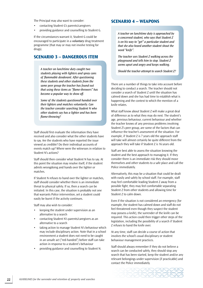The Principal may also want to consider:

- • contacting Student G's parents/caregivers
- • providing guidance and counselling to Student G.

If the circumstances warrant it, Student G could be encouraged to participate in a *voluntary* drug treatment programme (that may or may not involve testing for drugs).

### **Scenario 3 – DangerouS item**

*A teacher on lunchtime duty caught two students playing with lighters and spray cans of flammable deodorant. After questioning these students and other students from the same peer group the teacher has found out that using these items as "flame-throwers" has become a popular way to show off.* 

*Some of the students questioned handed over their lighters and matches voluntarily. Can the teacher consider searching Student N who other students say has a lighter and has been flame-throwing?* 

Staff should first evaluate the information they have received and also consider what the other students have to say. Are the students who have reported the issue viewed as credible? Do their individual accounts of events match up? where were the witnesses in relation to Student N's actions?

Staff should then consider what Student N has to say. At this point the situation may resolve itself, if the student admits wrongdoing and hands over the lighter or matches.

If Student N refuses to hand over the lighter or matches, staff should consider whether there is an immediate threat to physical safety. If so, then a search can be initiated. In this case, the situation is probably not one that warrants Police intervention, yet a student could easily be burnt if the activity continues.

Staff may also wish to consider:

- keeping the student under supervision as an alternative to a search
- contacting Student N's parents/caregivers as an alternative to a search
- taking action to manage Student N's behaviour which may include disciplinary action. Note that in a school environment a student does not need to be caught in an unsafe act ("red-handed") before staff can take action in response to a student's behaviour
- • providing guidance and counselling to Student N.

### **Scenario 4 – WeaponS**

*A teacher on lunchtime duty is approached by a concerned student, who says that Student Z is on his way to "get" a particular student and that she also heard another student shout the word "knife".* 

*The teacher sees Student Z walking across the playground and tells him to stop. Student Z seems upset and angry and keeps walking.* 

*Should the teacher attempt to search Student Z?* 

There are a number of things to take into account before deciding to conduct a search. The teacher should not consider a search of Student Z until the situation has calmed down and she has had time to establish what is happening and the context to which the mention of a knife relates.

what staff know about Student Z will make a great deal of difference as to what they may do next. The student's age, previous behaviour, current behaviour and whether the teacher knows of any previous problems involving Student Z's peer group, are some of the factors that can influence the teacher's assessment of the situation. For example, if Student Z is 7 years old the approach staff will take will almost certainly be quite different from the approach they will take if Student Z is 16 years old.

Staff are best able to assess the situation knowing the student and the best approach to managing it. If they consider there is an immediate risk they should move themselves and other students to a safe place and call the Police immediately.

 possible fight; they may feel comfortable separating Alternatively, this may be a situation that could be dealt with easily and safely by school staff. For example, staff may feel comfortable leading Student Z away from a Student Z from other students and allowing time for Student Z to calm down.

Even if the situation is not considered an emergency (for example, the student has calmed down and staff do not feel threatened even though they suspect the student may possess a knife), the surrender of the knife can be required. This action could then trigger other steps of the legislation, including the possibility of a search if Student Z refuses to hand the knife over.

At any time, staff can decide a course of action that involves the school's usual disciplinary or student behaviour management practices.

Staff should always remember if they do not believe a search can be conducted safely, they should stop any search that has been started, keep the student and/or any relevant belongings under supervision (if practicable) and contact the Police immediately.

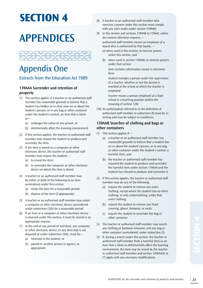# **Section 4**

# **APPendiCes**



# **Appendix One**

# Extracts from the Education Act 1989

# **139AAA surrender and retention of property**

- $(1)$  This section applies if a teacher or an authorised staff member has reasonable grounds to believe that a student has hidden or in clear view on or about the student's person, or in any bag or other container under the student's control, an item that is likely to—
	- (a) endanger the safety of any person; or
	- (b) detrimentally affect the learning environment.
- (2) If this section applies, the teacher or authorised staff member may require the student to produce and surrender the item.
- (3) If the item is stored on a computer or other electronic device, the teacher or authorised staff member may require the student—
	- (a) to reveal the item:
	- (b) to surrender the computer or other electronic device on which the item is stored.
- (4) A teacher or an authorised staff member may do either or both of the following to an item surrendered under this section:
	- (a) retain the item for a reasonable period:
	- (b) dispose of the item (if appropriate).
- (5) A teacher or an authorised staff member may retain a computer or other electronic device surrendered under subsection (3)(b) for a reasonable period.
- $(6)$  If an item or a computer or other electronic device is retained under this section, it must be stored in an appropriate manner.
- (7) At the end of any period of retention, any computer or other electronic device, or any item that is not disposed of under subsection (4)(b), must be—
	- (a) returned to the student; or
	- (b) passed to another person or agency, as appropriate.
- (8) A teacher or an authorised staff member who exercises a power under this section must comply with any rules made under section 139AAH.
	- In this section and sections 139AAB to 139AAI, unless the context otherwise requires, authorised staff member means an employee of a board who is authorised by that board,—
		- under this section; and (a) when used in this section, to exercise powers
		- (b) when used in section 139AAB, to exercise powers under that section

item includes information stored in electronic form

student includes a person under the supervision of a teacher, whether or not the person is enrolled at the school at which the teacher is employed

teacher means a person employed at a State school in a teaching position (within the meaning of section 120).

(10) An authorisation referred to in the definition of authorised staff member in subsection (9) must be in writing and may be subject to conditions.

## **139AAB searches of clothing and bags or other containers**

- $(1)$  This section applies if—
	- harmful item; and (a) a teacher or an authorised staff member has reasonable grounds to believe that a student has on or about the student's person, or in any bag or other container under the student's control, a
	- (b) the teacher or authorised staff member has required the student to produce and surrender the harmful item under section 139AAA and the student has refused to produce and surrender it.
- (2) If this section applies, the teacher or authorised staff member may do any of the following:
	- (a) require the student to remove any outer clothing, except where the student has no other clothing, or only underclothing, under that outer clothing:
	- (b) require the student to remove any head covering, gloves, footwear, or socks:
	- (c) require the student to surrender the bag or other container.
- (3) The teacher or authorised staff member may search any clothing or footwear removed, and any bag or other container surrendered, under subsection (2).
- (4) If, during a search under this section, the teacher or authorised staff member finds a harmful item or an item that is likely to detrimentally affect the learning environment, the item may be seized by the teacher or authorised staff member and section 139AAA(4) to (7) apply with any necessary modifications.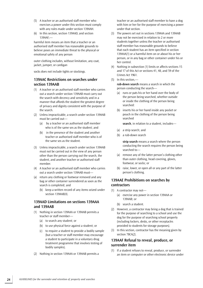- (5) A teacher or an authorised staff member who exercises a power under this section must comply with any rules made under section 139AAH.
- (6) In this section, section 139AAd, and section 139AAF,—

harmful item means an item that a teacher or an authorised staff member has reasonable grounds to believe poses an immediate threat to the physical or emotional safety of any person

outer clothing includes, without limitation, any coat, jacket, jumper, or cardigan

socks does not include tights or stockings.

## **139AAC Restrictions on searches under section 139AAB**

- (1) A teacher or an authorised staff member who carries out a search under section 139AAB must carry out the search with decency and sensitivity and in a manner that affords the student the greatest degree of privacy and dignity consistent with the purpose of the search.
- (2) Unless impracticable, a search under section 139AAB must be carried out—
	- who is of the same sex as the student; and (a) by a teacher or an authorised staff member
	- (b) in the presence of the student and another teacher or authorised staff member who is of the same sex as the student.
- (3) Unless impracticable, a search under section 139AAB must not be carried out in the view of any person other than the person carrying out the search, the student, and another teacher or authorised staff member.
- (4) A teacher or an authorised staff member who carries out a search under section 139AAB must—
- search is completed; and (a) return any clothing or footwear removed and any bag or other container surrendered as soon as the
	- (b) keep a written record of any items seized under section 139AAB(4).

### **139AAd limitations on sections 139AAA and 139AAB**

- (1) Nothing in section 139AAA or 139AAB permits a teacher or staff member—
	- (a) to search any student; or
	- (b) to use physical force against a student; or
	- $(c)$  to require a student to provide a bodily sample (but a teacher or staff member may encourage a student to participate in a voluntary drug treatment programme that involves testing of bodily samples).
- (2) Nothing in section 139AAA or 139AAB permits a

teacher or an authorised staff member to have a dog with him or her for the purpose of exercising a power under that section.

- (3) The powers set out in sections 139AAA and 139AAB may not be exercised in relation to 2 or more students together unless the teacher or authorised staff member has reasonable grounds to believe that each student has an item specified in section 139AAA(1) or a harmful item on or about his or her person, or in any bag or other container under his or her control.
- (4) Nothing in subsection (1) limits or affects sections 15 and 17 of this Act or sections 41, 48, and 59 of the Crimes Act 1961.
- $(5)$  In this section, **rub-down search** means a search in which the person conducting the search—
	- (a) runs or pats his or her hand over the body of the person being searched, whether outside or inside the clothing of the person being searched:
	- (b) inserts his or her hand inside any pocket or pouch in the clothing of the person being searched

**search**, in relation to a student, includes—

- (a) a strip search; and
- (b) a rub-down search

**strip search** means a search where the person conducting the search requires the person being searched to—

- footwear, or socks; or (a) remove any of the latter person's clothing other than outer clothing, head covering, gloves,
- $(b)$  raise, lower, or open all or any part of the latter person's clothing.

### **139AAe Prohibitions on searches by contractors**

- (1) A contractor may not-
	- (a) exercise any power in section 139AAA or 139AAB; or
	- (b) search a student.
- $(2)$  However, a contractor may bring a dog that is trained for the purpose of searching to a school and use the dog for the purpose of searching school property (including lockers, desks, or other receptacles provided to students for storage purposes).
- (3) In this section, contractor has the meaning given by section 78CA(2).

### **139AAF Refusal to reveal, produce, or surrender item**

(1) If a student refuses to reveal, produce, or surrender an item or computer or other electronic device under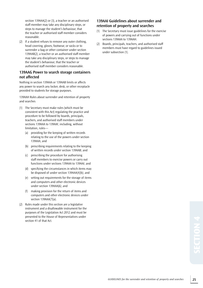section 139AAA(2) or (3), a teacher or an authorised staff member may take any disciplinary steps, or steps to manage the student's behaviour, that the teacher or authorised staff member considers reasonable.

(2) If a student refuses to remove any outer clothing, head covering, gloves, footwear, or socks or to surrender a bag or other container under section 139AAB(2), a teacher or an authorised staff member may take any disciplinary steps, or steps to manage the student's behaviour, that the teacher or authorised staff member considers reasonable.

### **139AAG Power to search storage containers not affected**

Nothing in section 139AAA or 139AAB limits or affects any power to search any locker, desk, or other receptacle provided to students for storage purposes.

139AAH Rules about surrender and retention of property and searches

- (1) The Secretary must make rules (which must be consistent with this Act) regulating the practice and procedure to be followed by boards, principals, teachers, and authorised staff members under sections 139AAA to 139AAF, including, without limitation, rules—
	- (a) providing for the keeping of written records relating to the use of the powers under section 139AAA; and
	- of written records under section 139AAB; and (b) prescribing requirements relating to the keeping
	- functions under sections 139AAA to 139AAI; and (c) prescribing the procedure for authorising staff members to exercise powers or carry out
	- be disposed of under section 139AAA(4)(b); and (d) specifying the circumstances in which items may
	- under section 139AAA(6); and (e) setting out requirements for the storage of items and computers and other electronic devices
	- $(f)$  making provision for the return of items and computers and other electronic devices under section 139AAA(7)(a).
- (2) Rules made under this section are a legislative instrument and a disallowable instrument for the purposes of the Legislation Act 2012 and must be presented to the House of Representatives under section 41 of that Act.

# **139AAi Guidelines about surrender and retention of property and searches**

- (1) The Secretary must issue guidelines for the exercise of powers and carrying out of functions under sections 139AAA to 139AAH.
- (2) Boards, principals, teachers, and authorised staff members must have regard to guidelines issued under subsection (1).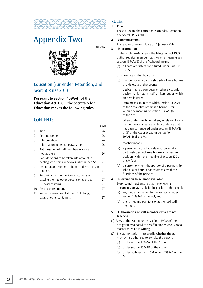

# Appendix Two

2013/469



# Education (Surrender, Retention, and Search) Rules 2013

**Pursuant to section 139AAH of the education Act 1989, the secretary for education makes the following rules.** 

# **CONTENTS**

|    |                                                 | PAGE |
|----|-------------------------------------------------|------|
| 1  | Title                                           | 26   |
| 2  | Commencement                                    | 26   |
| 3  | Interpretation                                  | 26   |
| 4  | Information to be made available                | 26   |
| 5  | Authorisation of staff members who are          |      |
|    | not teachers                                    | 26   |
| 6  | Considerations to be taken into account in      |      |
|    | dealing with items or devices taken under Act   | 27   |
| 7  | Retention and storage of items or devices taken |      |
|    | under Act                                       | 27   |
| 8  | Returning items or devices to students or       |      |
|    | passing them to other persons or agencies       | 27   |
| 9  | Disposal of items                               | 27   |
| 10 | Record of retentions                            | 27   |
| 11 | Record of searches of students' clothing,       |      |
|    | bags, or other containers                       | 27   |

# **RULES**

#### **1 title**

These rules are the Education (Surrender, Retention, and Search) Rules 2013.

#### **2 commencement**

These rules come into force on 1 January 2014.

#### **3 interpretation**

In these rules,—Act means the Education Act 1989 authorised staff member has the same meaning as in section 139AAA(9) of the Act board means—

(a) a board of trustees constituted under Part 9 of the Act

 or a delegate of that board; or

(b) the sponsor of a partnership school kura hourua or a delegate of that sponsor

**device** means a computer or other electronic device that is not, in itself, an item but on which an item is stored

**item** means an item to which section 139AAA(1) of the Act applies or that is a harmful item within the meaning of section 1 39AAB(6) of the Act

**taken under the Act** or **taken**, in relation to any item or device, means any item or device that has been surrendered under section 139AAA(2) or (3) of the Act or seized under section 1 39AAB(4) of the Act

#### **teacher** means—

- the Act); or (a) a person employed at a State school or at a partnership school kura hourua in a teaching position (within the meaning of section 120 of
- (b) a person to whom the sponsor of a partnership school kura hourua has assigned any of the functions of the principal.

#### **4 information to be made available**

Every board must ensure that the following documents are available for inspection at the school:

- section 1 39AA1 of the Act; and (a) any guidelines issued by the Secretary under
- (b) the names and positions of authorised staff members.

#### **5 authorisation of staff members who are not teachers**

- (1) Every authorisation, under section 139AAA of the Act, given by a board to a staff member who is not a teacher must be in writing.
- (2) The authorisation must specify whether the staff member is authorised to exercise the powers—
	- (a) under section 139AAA of the Act; or
	- (b) under section 139AAB of the Act; or
	- (c) under both sections 139AAA and 139AAB of the Act.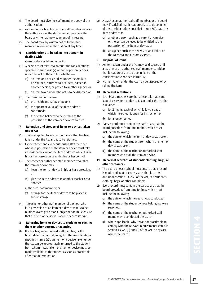- (3) The board must give the staff member a copy of the authorisation.
- (4) As soon as practicable after the staff member receives the authorisation, the staff member must give the board a written acknowledgment of its receipt.
- (5) The board may, by written notice to the staff member, revoke an authorisation at any time.

#### **6 considerations to be taken into account in dealing with**

items or devices taken under Act

- (1) A person must take into account the considerations specified in subclause (2) when the person decides, under the Act or these rules, whether—
	- another person, or passed to another agency; or (a) an item or a device taken under the Act is to be retained, returned to a student, passed to
	- (b) an item taken under the Act is to be disposed of.
- $(2)$  The considerations are—
	- (a) the health and safety of people:
	- (b) the apparent value of the item or device concerned:
	- (c) the person believed to be entitled to the possession of the item or device concerned.

#### **7 retention and storage of items or devices taken under act**

- (1) This rule applies to any item or device that has been taken under the Act and is to be retained.
- (2) Every teacher and every authorised staff member who is in possession of the item or device must take all reasonable care of the item or device while it is in his or her possession or under his or her control.
- (3) The teacher or authorised staff member who takes the item or device may—
	- (a) keep the item or device in his or her possession; or
	- (b) give the item or device to another teacher or to another

 authorised staff member; or

- (c) arrange for the item or device to be placed in secure storage.
- (4) A teacher or other staff member of a school who is in possession of an item or a device that is to be retained overnight or for a longer period must ensure that the item or device is placed in secure storage.

#### **8 returning items or devices to students or passing them to other persons or agencies**

If a teacher, an authorised staff member, or the board deter mines that, in light of the considerations specified in rule 6(2), an item or a device taken under the Act can be appropriately returned to the student from whom it was taken, the item or device must be made available to the student as soon as practicable after that determination.

- (2) A teacher, an authorised staff member, or the board may, if satisfied that it is appropriate to do so in light of the consider- ations specified in rule 6(2), pass the item or device to—
	- possession of the item or device; or (a) another person, such as a parent or caregiver or the person believed to be entitled to the
	- (b) an agency, such as the New Zealand Police or the New Zealand Customs Service.

#### **9** Disposal of items

- (1) An item taken under the Act may be disposed of if a teacher or an authorised staff member considers that it is appropriate to do so in light of the considerations specified in rule 6(2).
- $(2)$  No item taken under the Act may be disposed of by selling the item.

#### **10 Record of retentions**

- (1) Each board must ensure that a record is made and kept of every item or device taken under the Act that is retained—
	- which the school is open for instruction; or (a) for 2 nights, each of which follows a day on
	- (b) for a longer period.
- (2) Every record must contain the particulars that the board prescribes from time to time, which must include the following:
	- (a) the date on which the item or device was taken:
	- (b) the name of the student from whom the item or device was taken:
	- (c) the name of the teacher or authorised staff member who took the item or device.

#### **11 record of searches of students' clothing, bags, or other containers**

- (1) The board of each school must ensure that a record is made and kept of every search that is carried out, under section 139AAB of the Act, of a student's clothing, bags, or other containers.
- (2) Every record must contain the particulars that the board prescribes from time to time, which must include the following:
	- (a) the date on which the search was conducted:
	- (b) the name of the student whose belongings were searched:
	- (c) the name of the teacher or authorised staff member who conducted the search:
	- (d) where applicable, why it was not practicable to comply with the relevant requirements stated in section 139AAC(2) and (3) of the Act in any case where the search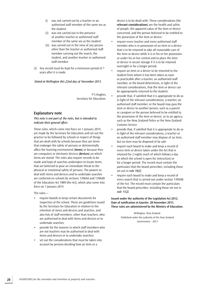- (i) was not carried out by a teacher or an authorised staff member of the same sex as the student:
- (ii) was not carried out in the presence of another teacher or authorised staff member of the same sex as the student:
- (iii) was carried out in the view of any person other than the teacher or authorised staff member carrying out the search, the student, and another teacher or authorised staff member.
- (3) Any record must be kept for a minimum period of 7 years after it is made.

 *Dated at Wellington this 22nd day of November 2013.* 

P S Hughes, Secretary for Education.

#### **explanatory note**

*This note is not part of the rules, but is intended to indicate their general effect.* 

These rules, which come into force on 1 January 2014, are made by the Secretary for Education and set out the practice to be followed by schools in respect of things that are dealt with by schools because they are items that endanger the safety of persons or detrimentally affect the learning environment (**items**) or because they are computers or electronic devices (**devices**) on which items are stored. The rules also require records to be made and kept of searches undertaken to locate items that are believed to pose an immediate threat to the physical or emotional safety of persons. The powers to deal with items and devices and to undertake searches are conferred on schools by sections 139AAA and 139AAB of the Education Act 1989 (the Act), which also come into force on 1 January 2014.

The rules—

- • require boards to keep certain documents for inspection at the school. These are guidelines issued by the Secretary for Education in relation to the retention of items and devices and searches, and also lists of staff members, other than teachers, who are authorised to deal with items and devices or to undertake searches:
- provide for the manner in which staff members who are not teachers may be authorised to deal with items and devices or to undertake searches:
- set out the considerations that must be taken into account by persons deciding how an item or a

device is to be dealt with. These considerations (the **relevant considerations**) are the health and safety of people, the apparent value of the item or device concerned, and the person believed to be entitled to the possession of the item or device:

- require every teacher and every authorised staff member who is in possession of an item or a device that is to be retained to take all reasonable care of the item or device while it is in his or her possession or under his or her control and to place the item or device in secure storage if it is to be retained overnight or for a longer period:
- • require an item or a device to be returned to the student from whom it has been taken as soon as practicable after a teacher, an authorised staff member, or the board determines, in light of the relevant considerations, that the item or device can be appropriately returned to the student:
- provide that, if satisfied that it is appropriate to do so in light of the relevant considerations, a teacher, an authorised staff member, or the board may pass the item or device to another person, such as a parent or caregiver or the person believed to be entitled to the possession of the item or device, or to an agency, such as the New Zealand Police or the New Zealand Customs Service:
- provide that, if satisfied that it is appropriate to do so in light of the relevant considerations, a teacher or an authorised staff member may dispose of an item, but no item may be disposed of by sale:
- require each board to make and keep a record of every item or device taken under the Act that is retained for 2 nights (each of which follows a day on which the school is open for instruction) or for a longer period. The record must contain the particulars that the board prescribes, including those set out in *rule 10(2)*:
- require each board to make and keep a record of every search that is carried out under section 139AAB of the Act. The record must contain the particulars that the board prescribes, including those set out in *rule 11(2)*.

**issued under the authority of the legislation Act 2012. date of notification in Gazette: 28 november 2013. These rules are administered by the Ministry of education.** 

> wellington. New Zealand: Published under the authority of the New Zealand Government – 2013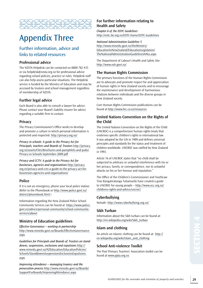

# Appendix Three

# Further information, advice and links to related resources

# **Professional advice**

The NZSTA Helpdesk can be contacted on 0800 782 435 or via helpdesk@nzsta.org.nz for professional advice regarding school policies, practice or rules. Helpdesk staff can also help assess particular situations. The Helpdesk service is funded by the Ministry of Education and may be accessed by trustees and school management regardless of membership of NZSTA.

# **Further legal advice**

Each Board is also able to consult a lawyer for advice. Please contact your Board's liability insurer for advice regarding a suitable firm to contact.

### **Privacy**

The Privacy Commissioner's Office works to develop and promote a culture in which personal information is protected and respected. <http://privacy.org.nz/>

*Privacy in schools: A guide to the Privacy Act for Principals, teachers and Boards of Trustees* [http://privacy.](http://privacy.org.nz/assets/Files/Brochures-and-pamphlets-and-pubs/Privacy-in-Schools-September-2009.pdf) [org.nz/assets/Files/Brochures-and-pamphlets-and-pubs/](http://privacy.org.nz/assets/Files/Brochures-and-pamphlets-and-pubs/Privacy-in-Schools-September-2009.pdf) [Privacy-in-Schools-September-2009.pdf](http://privacy.org.nz/assets/Files/Brochures-and-pamphlets-and-pubs/Privacy-in-Schools-September-2009.pdf) 

*Privacy and CCTV: A guide to the Privacy Act for businesses, agencies and organisations* [http://privacy.](http://privacy.org.nz/privacy-and-cctv-a-guide-to-the-privacy-act-for-businesses-agencies-and-organisations/)  [org.nz/privacy-and-cctv-a-guide-to-the-privacy-act-for](http://privacy.org.nz/privacy-and-cctv-a-guide-to-the-privacy-act-for-businesses-agencies-and-organisations/)[businesses-agencies-and-organisations/](http://privacy.org.nz/privacy-and-cctv-a-guide-to-the-privacy-act-for-businesses-agencies-and-organisations/)

### **Police**

If it is not an emergency, phone your local police station (Refer to the Phonebook or [http://www.police.govt.nz/](http://www.police.govt.nz/district/phonebook.html)  [district/phonebook.html](http://www.police.govt.nz/district/phonebook.html) )

Information regarding the New Zealand Police School Community Services can be found at [https://www.police.](https://www.police.govt.nz/advice/personal-community/school-community-services/about)  [govt.nz/advice/personal-community/school-community](https://www.police.govt.nz/advice/personal-community/school-community-services/about)[services/about](https://www.police.govt.nz/advice/personal-community/school-community-services/about)

# **Ministry of education guidelines**

*Effective Governance – working in partnership*  [http://www.minedu.govt.nz/Boards/EffectiveGovernance.](http://www.minedu.govt.nz/Boards/EffectiveGovernance.aspx)  [aspx](http://www.minedu.govt.nz/Boards/EffectiveGovernance.aspx) 

*Guidelines for Principals and Boards of Trustees on standdowns, suspensions, exclusions and expulsions* [http://](http://www.minedu.govt.nz/NZEducation/EducationPolicies/Schools/StanddownsSuspensionsExclusionsExpulsions.aspx)  [www.minedu.govt.nz/NZEducation/EducationPolicies/](http://www.minedu.govt.nz/NZEducation/EducationPolicies/Schools/StanddownsSuspensionsExclusionsExpulsions.aspx) [Schools/StanddownsSuspensionsExclusionsExpulsions.](http://www.minedu.govt.nz/NZEducation/EducationPolicies/Schools/StanddownsSuspensionsExclusionsExpulsions.aspx)  [aspx](http://www.minedu.govt.nz/NZEducation/EducationPolicies/Schools/StanddownsSuspensionsExclusionsExpulsions.aspx) 

*Improving attendance – managing truancy and the prosecution process* [http://www.minedu.govt.nz/Boards/](http://www.minedu.govt.nz/Boards/SupportForBoards/ImprovingAttendance.aspx)  [SupportForBoards/ImprovingAttendance.aspx](http://www.minedu.govt.nz/Boards/SupportForBoards/ImprovingAttendance.aspx)

# **For further information relating to Health and safety**

*Chapter 6 of the EOTC Guidelines*  <http://eotc.tki.org.nz/EOTC-home/EOTC-Guidelines>

#### *National Administration Guideline 5*

[http://www.minedu.govt.nz/theMinistry/](http://www.minedu.govt.nz/theMinistry/EducationInNewZealand/EducationLegislation/TheNationalAdministrationGuidelinesNAGs.aspx)  [EducationInNewZealand/EducationLegislation/](http://www.minedu.govt.nz/theMinistry/EducationInNewZealand/EducationLegislation/TheNationalAdministrationGuidelinesNAGs.aspx)  [TheNationalAdministrationGuidelinesNAGs.aspx](http://www.minedu.govt.nz/theMinistry/EducationInNewZealand/EducationLegislation/TheNationalAdministrationGuidelinesNAGs.aspx) 

The Department of Labour's Health and Safety Site: <http://www.osh.govt.nz/>

# **The Human Rights Commission**

The primary functions of the Human Rights Commission are to advocate and promote respect for and appreciation of human rights in New Zealand society and to encourage the maintenance and development of harmonious relations between individuals and the diverse groups in New Zealand society.

Core Human Rights Commission publications can be found at <http://www.hrc.co.nz/resources>

# **united nations Convention on the Rights of the Child**

The United Nations Convention on the Rights of the Child (UNCROC) is a comprehensive human rights treaty that enshrines specific children's rights in international law. It was adopted by the UN in 1989 and defines universal principles and standards for the status and treatment of children worldwide. UNCROC was ratified by New Zealand in 1993.

Article 16 of UNCROC states that "no child shall be subjected to arbitrary or unlawful interference with his or her privacy, family, or correspondence, nor to unlawful attacks on his or her honour and reputation."

The Office of the Children's Commissioner and YouthLaw Tino Rangatiratanga Taitamariki have created a guide to UNCROC for young people – [http://www.occ.org.nz/](http://www.occ.org.nz/childrens-rights-and-advice/uncroc/) [childrens-rights-and-advice/uncroc/](http://www.occ.org.nz/childrens-rights-and-advice/uncroc/) 

# **Cyberbullying**

Netsafe: <http://www.cyberbullying.org.nz/>

# **sikh Turban**

Information about the Sikh turban can be found at: [http://en.wikipedia.org/wiki/Sikh\\_turban](http://en.wikipedia.org/wiki/Sikh_turban)

# **islam and clothing**

An article on Islamic clothing can be found at: [http://](http://en.wikipedia.org/wiki/Islam_and_clothing)  [en.wikipedia.org/wiki/Islam\\_and\\_clothing](http://en.wikipedia.org/wiki/Islam_and_clothing) 

# **school Anti-violence Toolkit**

The Post Primary Teachers' Association toolkit can be found at <www.ppta.org.nz>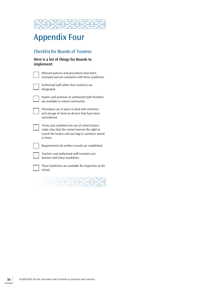

# Appendix Four

# Checklist for Boards of Trustees

| Here is a list of things for Boards to |  |
|----------------------------------------|--|
| implement:                             |  |

| Relevant policies and procedures have been<br>reviewed and are consistent with these Guidelines.                                                                     |
|----------------------------------------------------------------------------------------------------------------------------------------------------------------------|
| Authorised staff (other than teachers) are<br>designated.                                                                                                            |
| Names and positions of authorised staff members<br>are available to school community.                                                                                |
| Procedures are in place to deal with retention<br>and storage of items or devices that have been<br>surrendered.                                                     |
| Terms and conditions for use of school lockers<br>make clear that the school reserves the right to<br>search the lockers and any bag or container stored<br>in them. |
| Requirements for written records are established.                                                                                                                    |
| Teachers and authorised staff members are<br>familiar with these Guidelines.                                                                                         |
| These Guidelines are available for inspection at the                                                                                                                 |

 $\sqrt{2\sqrt{2}}$  $\frac{1}{2} \sum_{i=1}^n \sum_{j=1}^n \sum_{j=1}^n \sum_{j=1}^n \sum_{j=1}^n \sum_{j=1}^n \sum_{j=1}^n \sum_{j=1}^n \sum_{j=1}^n \sum_{j=1}^n \sum_{j=1}^n \sum_{j=1}^n \sum_{j=1}^n \sum_{j=1}^n \sum_{j=1}^n \sum_{j=1}^n \sum_{j=1}^n \sum_{j=1}^n \sum_{j=1}^n \sum_{j=1}^n \sum_{j=1}^n \sum_{j=1}^n \sum_{j=1}^n \sum_{j=1$ 

school.